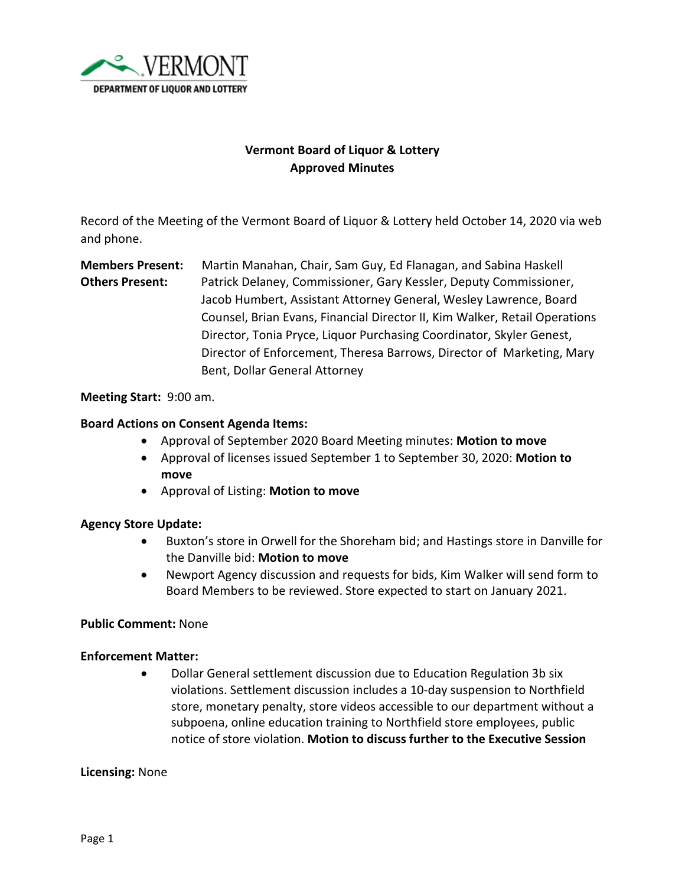

# **Vermont Board of Liquor & Lottery Approved Minutes**

Record of the Meeting of the Vermont Board of Liquor & Lottery held October 14, 2020 via web and phone.

**Members Present:** Martin Manahan, Chair, Sam Guy, Ed Flanagan, and Sabina Haskell **Others Present:** Patrick Delaney, Commissioner, Gary Kessler, Deputy Commissioner, Jacob Humbert, Assistant Attorney General, Wesley Lawrence, Board Counsel, Brian Evans, Financial Director II, Kim Walker, Retail Operations Director, Tonia Pryce, Liquor Purchasing Coordinator, Skyler Genest, Director of Enforcement, Theresa Barrows, Director of Marketing, Mary Bent, Dollar General Attorney

### **Meeting Start:** 9:00 am.

### **Board Actions on Consent Agenda Items:**

- Approval of September 2020 Board Meeting minutes: **Motion to move**
- Approval of licenses issued September 1 to September 30, 2020: **Motion to move**
- Approval of Listing: **Motion to move**

# **Agency Store Update:**

- Buxton's store in Orwell for the Shoreham bid; and Hastings store in Danville for the Danville bid: **Motion to move**
- Newport Agency discussion and requests for bids, Kim Walker will send form to Board Members to be reviewed. Store expected to start on January 2021.

# **Public Comment:** None

#### **Enforcement Matter:**

• Dollar General settlement discussion due to Education Regulation 3b six violations. Settlement discussion includes a 10-day suspension to Northfield store, monetary penalty, store videos accessible to our department without a subpoena, online education training to Northfield store employees, public notice of store violation. **Motion to discuss further to the Executive Session**

#### **Licensing:** None